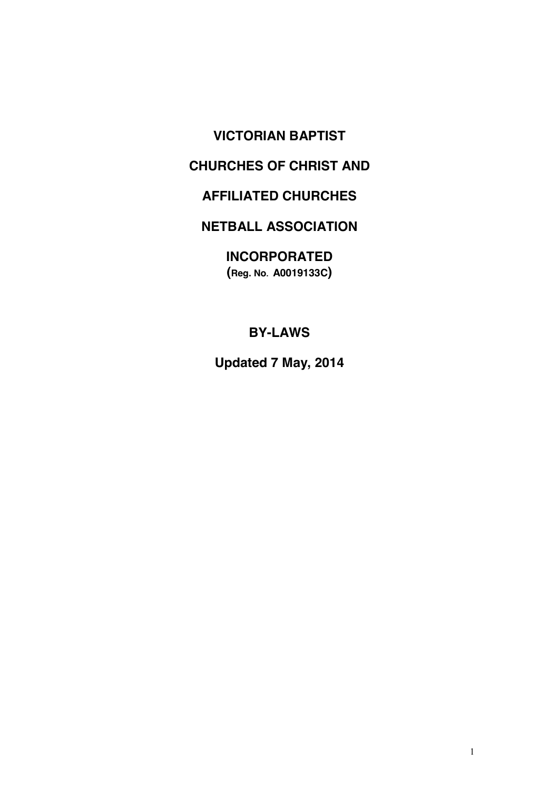# **VICTORIAN BAPTIST**

# **CHURCHES OF CHRIST AND**

# **AFFILIATED CHURCHES**

# **NETBALL ASSOCIATION**

**INCORPORATED (Reg. No. A0019133C)**

**BY-LAWS**

**Updated 7 May, 2014**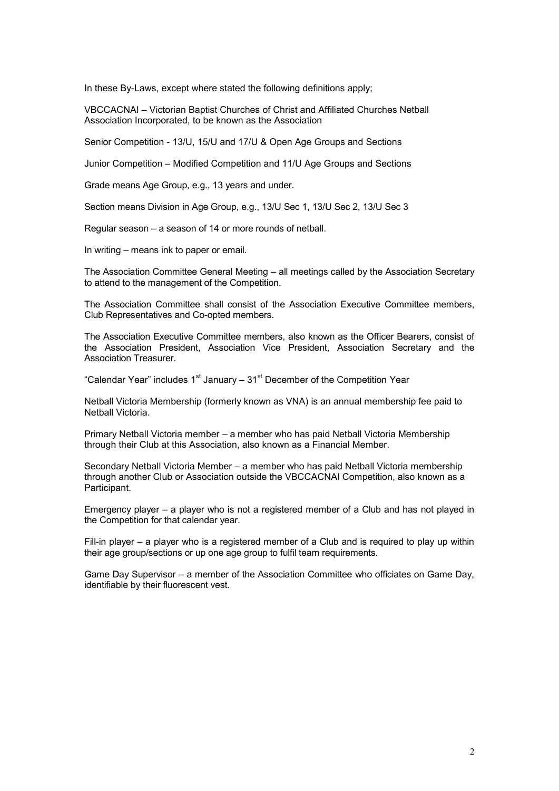In these By-Laws, except where stated the following definitions apply;

VBCCACNAI – Victorian Baptist Churches of Christ and Affiliated Churches Netball Association Incorporated, to be known as the Association

Senior Competition - 13/U, 15/U and 17/U & Open Age Groups and Sections

Junior Competition – Modified Competition and 11/U Age Groups and Sections

Grade means Age Group, e.g., 13 years and under.

Section means Division in Age Group, e.g., 13/U Sec 1, 13/U Sec 2, 13/U Sec 3

Regular season – a season of 14 or more rounds of netball.

In writing – means ink to paper or email.

The Association Committee General Meeting – all meetings called by the Association Secretary to attend to the management of the Competition.

The Association Committee shall consist of the Association Executive Committee members, Club Representatives and Co-opted members.

The Association Executive Committee members, also known as the Officer Bearers, consist of the Association President, Association Vice President, Association Secretary and the Association Treasurer.

"Calendar Year" includes  $1<sup>st</sup>$  January –  $31<sup>st</sup>$  December of the Competition Year

Netball Victoria Membership (formerly known as VNA) is an annual membership fee paid to Netball Victoria.

Primary Netball Victoria member – a member who has paid Netball Victoria Membership through their Club at this Association, also known as a Financial Member.

Secondary Netball Victoria Member – a member who has paid Netball Victoria membership through another Club or Association outside the VBCCACNAI Competition, also known as a Participant.

Emergency player – a player who is not a registered member of a Club and has not played in the Competition for that calendar year.

Fill-in player – a player who is a registered member of a Club and is required to play up within their age group/sections or up one age group to fulfil team requirements.

Game Day Supervisor – a member of the Association Committee who officiates on Game Day, identifiable by their fluorescent vest.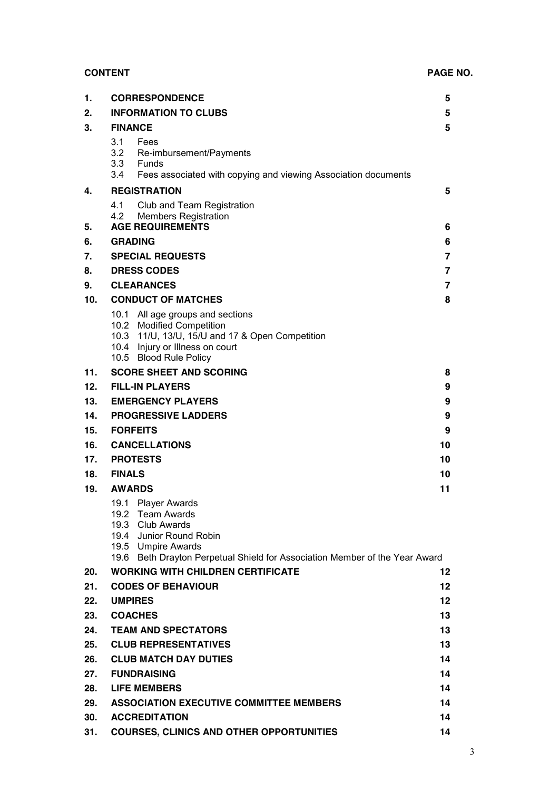## **CONTENT PAGE NO.**

| 1.  | <b>CORRESPONDENCE</b>                                                                                                                                                                                      | 5                 |  |
|-----|------------------------------------------------------------------------------------------------------------------------------------------------------------------------------------------------------------|-------------------|--|
| 2.  | <b>INFORMATION TO CLUBS</b><br>5                                                                                                                                                                           |                   |  |
| 3.  | <b>FINANCE</b>                                                                                                                                                                                             | 5                 |  |
|     | 3.1<br>Fees<br>3.2 Re-imbursement/Payments<br>3.3 Funds<br>3.4<br>Fees associated with copying and viewing Association documents                                                                           |                   |  |
| 4.  | <b>REGISTRATION</b>                                                                                                                                                                                        | 5                 |  |
| 5.  | 4.1<br>Club and Team Registration<br>4.2<br><b>Members Registration</b><br><b>AGE REQUIREMENTS</b>                                                                                                         | 6                 |  |
| 6.  | <b>GRADING</b><br>6                                                                                                                                                                                        |                   |  |
| 7.  | <b>SPECIAL REQUESTS</b>                                                                                                                                                                                    | 7                 |  |
| 8.  | <b>DRESS CODES</b>                                                                                                                                                                                         | 7                 |  |
|     |                                                                                                                                                                                                            |                   |  |
| 9.  | <b>CLEARANCES</b>                                                                                                                                                                                          | 7                 |  |
| 10. | <b>CONDUCT OF MATCHES</b><br>10.1 All age groups and sections<br>10.2 Modified Competition<br>10.3 11/U, 13/U, 15/U and 17 & Open Competition<br>10.4 Injury or Illness on court<br>10.5 Blood Rule Policy | 8                 |  |
| 11. | <b>SCORE SHEET AND SCORING</b>                                                                                                                                                                             | 8                 |  |
| 12. | <b>FILL-IN PLAYERS</b>                                                                                                                                                                                     | 9                 |  |
| 13. | <b>EMERGENCY PLAYERS</b>                                                                                                                                                                                   | 9                 |  |
| 14. | <b>PROGRESSIVE LADDERS</b>                                                                                                                                                                                 | 9                 |  |
| 15. | <b>FORFEITS</b>                                                                                                                                                                                            | 9                 |  |
| 16. | <b>CANCELLATIONS</b>                                                                                                                                                                                       | 10                |  |
| 17. | <b>PROTESTS</b>                                                                                                                                                                                            | 10                |  |
| 18. | <b>FINALS</b>                                                                                                                                                                                              | 10                |  |
| 19. | <b>AWARDS</b>                                                                                                                                                                                              | 11                |  |
|     | 19.1 Player Awards<br>19.2 Team Awards<br>19.3 Club Awards<br>19.4 Junior Round Robin<br>19.5 Umpire Awards<br>19.6 Beth Drayton Perpetual Shield for Association Member of the Year Award                 |                   |  |
| 20. | <b>WORKING WITH CHILDREN CERTIFICATE</b>                                                                                                                                                                   | $12 \,$           |  |
| 21. | <b>CODES OF BEHAVIOUR</b>                                                                                                                                                                                  | $12 \,$           |  |
| 22. | <b>UMPIRES</b>                                                                                                                                                                                             | $12 \overline{ }$ |  |
| 23. | <b>COACHES</b>                                                                                                                                                                                             | 13                |  |
| 24. | <b>TEAM AND SPECTATORS</b>                                                                                                                                                                                 | 13                |  |
| 25. | <b>CLUB REPRESENTATIVES</b>                                                                                                                                                                                | 13                |  |
| 26. | <b>CLUB MATCH DAY DUTIES</b>                                                                                                                                                                               | 14                |  |
| 27. | <b>FUNDRAISING</b>                                                                                                                                                                                         | 14                |  |
| 28. | <b>LIFE MEMBERS</b>                                                                                                                                                                                        | 14                |  |
| 29. | <b>ASSOCIATION EXECUTIVE COMMITTEE MEMBERS</b>                                                                                                                                                             | 14                |  |
| 30. | <b>ACCREDITATION</b>                                                                                                                                                                                       | 14                |  |
| 31. | <b>COURSES, CLINICS AND OTHER OPPORTUNITIES</b>                                                                                                                                                            | 14                |  |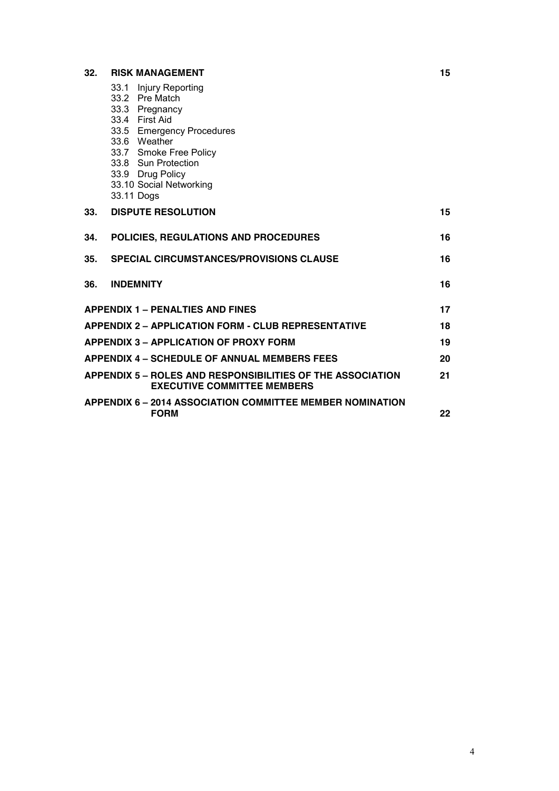# **32. RISK MANAGEMENT 15**

|                                               | 33.1 Injury Reporting<br>33.2 Pre Match<br>33.3 Pregnancy<br>33.4 First Aid<br>33.5 Emergency Procedures<br>33.6 Weather<br>33.7 Smoke Free Policy<br>33.8 Sun Protection<br>33.9 Drug Policy<br>33.10 Social Networking<br>33.11 Dogs |    |  |
|-----------------------------------------------|----------------------------------------------------------------------------------------------------------------------------------------------------------------------------------------------------------------------------------------|----|--|
| 33.                                           | <b>DISPUTE RESOLUTION</b>                                                                                                                                                                                                              | 15 |  |
| 34.                                           | POLICIES, REGULATIONS AND PROCEDURES                                                                                                                                                                                                   | 16 |  |
| 35.                                           | <b>SPECIAL CIRCUMSTANCES/PROVISIONS CLAUSE</b>                                                                                                                                                                                         | 16 |  |
| 36.                                           | <b>INDEMNITY</b>                                                                                                                                                                                                                       | 16 |  |
| <b>APPENDIX 1 - PENALTIES AND FINES</b><br>17 |                                                                                                                                                                                                                                        |    |  |
|                                               | <b>APPENDIX 2 - APPLICATION FORM - CLUB REPRESENTATIVE</b>                                                                                                                                                                             | 18 |  |
|                                               | <b>APPENDIX 3 - APPLICATION OF PROXY FORM</b>                                                                                                                                                                                          | 19 |  |
|                                               | <b>APPENDIX 4 – SCHEDULE OF ANNUAL MEMBERS FEES</b>                                                                                                                                                                                    | 20 |  |
|                                               | APPENDIX 5 – ROLES AND RESPONSIBILITIES OF THE ASSOCIATION<br><b>EXECUTIVE COMMITTEE MEMBERS</b>                                                                                                                                       | 21 |  |
|                                               | <b>APPENDIX 6 – 2014 ASSOCIATION COMMITTEE MEMBER NOMINATION</b><br><b>FORM</b>                                                                                                                                                        | 22 |  |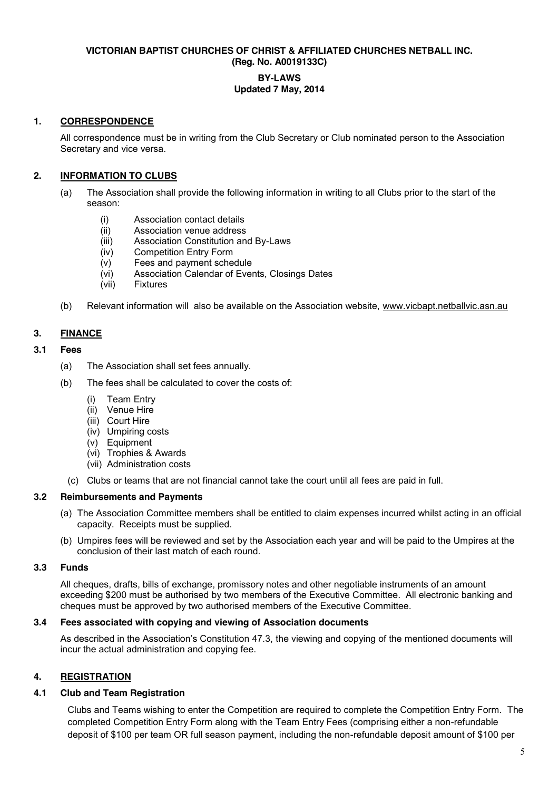#### **VICTORIAN BAPTIST CHURCHES OF CHRIST & AFFILIATED CHURCHES NETBALL INC. (Reg. No. A0019133C)**

## **BY-LAWS Updated 7 May, 2014**

### **1. CORRESPONDENCE**

All correspondence must be in writing from the Club Secretary or Club nominated person to the Association Secretary and vice versa.

## **2. INFORMATION TO CLUBS**

- (a) The Association shall provide the following information in writing to all Clubs prior to the start of the season:
	- (i) Association contact details<br>(ii) Association venue address
	- Association venue address
	- (iii) Association Constitution and By-Laws
	- (iv) Competition Entry Form
	- (v) Fees and payment schedule
	- (vi) Association Calendar of Events, Closings Dates
	- (vii) Fixtures
- (b) Relevant information will also be available on the Association website, [www.vicbapt.netballvic.asn.au](http://www.vicbapt.netballvic.asn.au/)

### **3. FINANCE**

#### **3.1 Fees**

- (a) The Association shall set fees annually.
- (b) The fees shall be calculated to cover the costs of:
	- (i) Team Entry
	- (ii) Venue Hire
	- (iii) Court Hire
	- (iv) Umpiring costs
	- (v) Equipment
	- (vi) Trophies & Awards
	- (vii) Administration costs
	- (c) Clubs or teams that are not financial cannot take the court until all fees are paid in full.

### **3.2 Reimbursements and Payments**

- (a) The Association Committee members shall be entitled to claim expenses incurred whilst acting in an official capacity. Receipts must be supplied.
- (b) Umpires fees will be reviewed and set by the Association each year and will be paid to the Umpires at the conclusion of their last match of each round.

### **3.3 Funds**

All cheques, drafts, bills of exchange, promissory notes and other negotiable instruments of an amount exceeding \$200 must be authorised by two members of the Executive Committee. All electronic banking and cheques must be approved by two authorised members of the Executive Committee.

### **3.4 Fees associated with copying and viewing of Association documents**

As described in the Association's Constitution 47.3, the viewing and copying of the mentioned documents will incur the actual administration and copying fee.

### **4. REGISTRATION**

### **4.1 Club and Team Registration**

Clubs and Teams wishing to enter the Competition are required to complete the Competition Entry Form. The completed Competition Entry Form along with the Team Entry Fees (comprising either a non-refundable deposit of \$100 per team OR full season payment, including the non-refundable deposit amount of \$100 per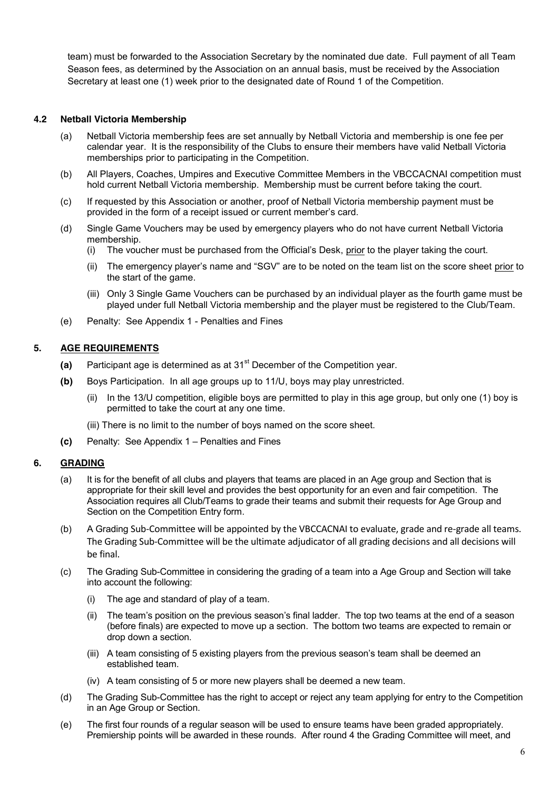team) must be forwarded to the Association Secretary by the nominated due date. Full payment of all Team Season fees, as determined by the Association on an annual basis, must be received by the Association Secretary at least one (1) week prior to the designated date of Round 1 of the Competition.

### **4.2 Netball Victoria Membership**

- (a) Netball Victoria membership fees are set annually by Netball Victoria and membership is one fee per calendar year. It is the responsibility of the Clubs to ensure their members have valid Netball Victoria memberships prior to participating in the Competition.
- (b) All Players, Coaches, Umpires and Executive Committee Members in the VBCCACNAI competition must hold current Netball Victoria membership. Membership must be current before taking the court.
- (c) If requested by this Association or another, proof of Netball Victoria membership payment must be provided in the form of a receipt issued or current member's card.
- (d) Single Game Vouchers may be used by emergency players who do not have current Netball Victoria membership.
	- (i) The voucher must be purchased from the Official's Desk, prior to the player taking the court.
	- (ii) The emergency player's name and "SGV" are to be noted on the team list on the score sheet prior to the start of the game.
	- (iii) Only 3 Single Game Vouchers can be purchased by an individual player as the fourth game must be played under full Netball Victoria membership and the player must be registered to the Club/Team.
- (e) Penalty: See Appendix 1 Penalties and Fines

### **5. AGE REQUIREMENTS**

- **(a)** Participant age is determined as at 31st December of the Competition year.
- **(b)** Boys Participation. In all age groups up to 11/U, boys may play unrestricted.
	- (ii) In the 13/U competition, eligible boys are permitted to play in this age group, but only one (1) boy is permitted to take the court at any one time.
	- (iii) There is no limit to the number of boys named on the score sheet.
- **(c)** Penalty: See Appendix 1 Penalties and Fines

### **6. GRADING**

- (a) It is for the benefit of all clubs and players that teams are placed in an Age group and Section that is appropriate for their skill level and provides the best opportunity for an even and fair competition. The Association requires all Club/Teams to grade their teams and submit their requests for Age Group and Section on the Competition Entry form.
- (b) A Grading Sub-Committee will be appointed by the VBCCACNAI to evaluate, grade and re-grade all teams. The Grading Sub-Committee will be the ultimate adjudicator of all grading decisions and all decisions will be final.
- (c) The Grading Sub-Committee in considering the grading of a team into a Age Group and Section will take into account the following:
	- (i) The age and standard of play of a team.
	- (ii) The team's position on the previous season's final ladder. The top two teams at the end of a season (before finals) are expected to move up a section. The bottom two teams are expected to remain or drop down a section.
	- (iii) A team consisting of 5 existing players from the previous season's team shall be deemed an established team.
	- (iv) A team consisting of 5 or more new players shall be deemed a new team.
- (d) The Grading Sub-Committee has the right to accept or reject any team applying for entry to the Competition in an Age Group or Section.
- (e) The first four rounds of a regular season will be used to ensure teams have been graded appropriately. Premiership points will be awarded in these rounds. After round 4 the Grading Committee will meet, and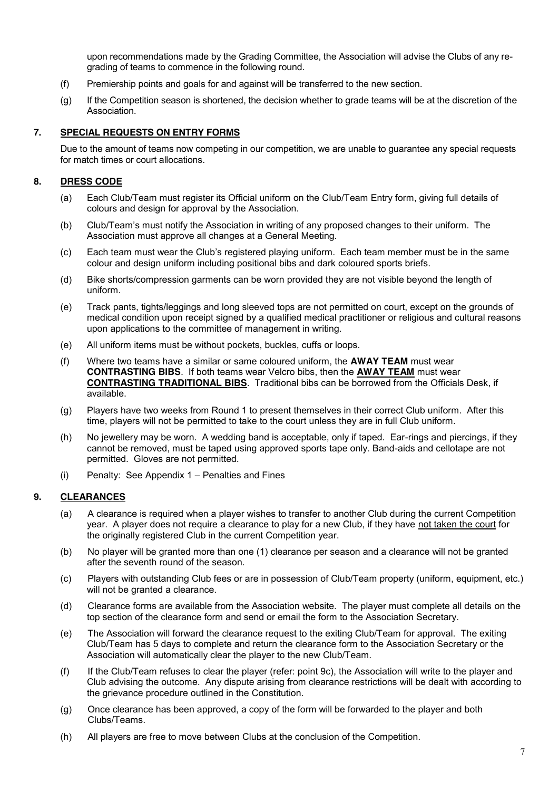upon recommendations made by the Grading Committee, the Association will advise the Clubs of any regrading of teams to commence in the following round.

- (f) Premiership points and goals for and against will be transferred to the new section.
- (g) If the Competition season is shortened, the decision whether to grade teams will be at the discretion of the **Association**

### **7. SPECIAL REQUESTS ON ENTRY FORMS**

Due to the amount of teams now competing in our competition, we are unable to guarantee any special requests for match times or court allocations.

#### **8. DRESS CODE**

- (a) Each Club/Team must register its Official uniform on the Club/Team Entry form, giving full details of colours and design for approval by the Association.
- (b) Club/Team's must notify the Association in writing of any proposed changes to their uniform. The Association must approve all changes at a General Meeting.
- (c) Each team must wear the Club's registered playing uniform. Each team member must be in the same colour and design uniform including positional bibs and dark coloured sports briefs.
- (d) Bike shorts/compression garments can be worn provided they are not visible beyond the length of uniform.
- (e) Track pants, tights/leggings and long sleeved tops are not permitted on court, except on the grounds of medical condition upon receipt signed by a qualified medical practitioner or religious and cultural reasons upon applications to the committee of management in writing.
- (e) All uniform items must be without pockets, buckles, cuffs or loops.
- (f) Where two teams have a similar or same coloured uniform, the **AWAY TEAM** must wear **CONTRASTING BIBS**. If both teams wear Velcro bibs, then the **AWAY TEAM** must wear **CONTRASTING TRADITIONAL BIBS**. Traditional bibs can be borrowed from the Officials Desk, if available.
- (g) Players have two weeks from Round 1 to present themselves in their correct Club uniform. After this time, players will not be permitted to take to the court unless they are in full Club uniform.
- (h) No jewellery may be worn. A wedding band is acceptable, only if taped. Ear-rings and piercings, if they cannot be removed, must be taped using approved sports tape only. Band-aids and cellotape are not permitted. Gloves are not permitted.
- (i) Penalty: See Appendix 1 Penalties and Fines

#### **9. CLEARANCES**

- (a) A clearance is required when a player wishes to transfer to another Club during the current Competition year. A player does not require a clearance to play for a new Club, if they have not taken the court for the originally registered Club in the current Competition year.
- (b) No player will be granted more than one (1) clearance per season and a clearance will not be granted after the seventh round of the season.
- (c) Players with outstanding Club fees or are in possession of Club/Team property (uniform, equipment, etc.) will not be granted a clearance.
- (d) Clearance forms are available from the Association website. The player must complete all details on the top section of the clearance form and send or email the form to the Association Secretary.
- (e) The Association will forward the clearance request to the exiting Club/Team for approval. The exiting Club/Team has 5 days to complete and return the clearance form to the Association Secretary or the Association will automatically clear the player to the new Club/Team.
- (f) If the Club/Team refuses to clear the player (refer: point 9c), the Association will write to the player and Club advising the outcome. Any dispute arising from clearance restrictions will be dealt with according to the grievance procedure outlined in the Constitution.
- (g) Once clearance has been approved, a copy of the form will be forwarded to the player and both Clubs/Teams.
- (h) All players are free to move between Clubs at the conclusion of the Competition.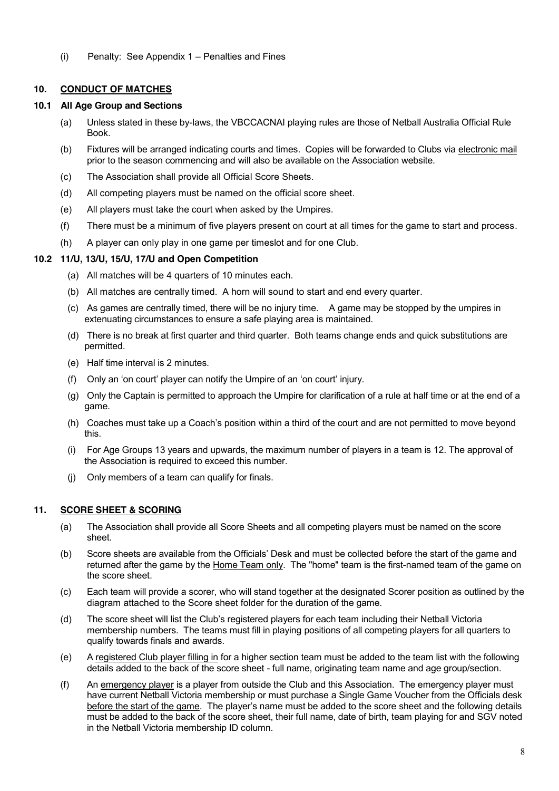(i) Penalty: See Appendix 1 – Penalties and Fines

## **10. CONDUCT OF MATCHES**

# **10.1 All Age Group and Sections**

- (a) Unless stated in these by-laws, the VBCCACNAI playing rules are those of Netball Australia Official Rule Book.
- (b) Fixtures will be arranged indicating courts and times. Copies will be forwarded to Clubs via electronic mail prior to the season commencing and will also be available on the Association website.
- (c) The Association shall provide all Official Score Sheets.
- (d) All competing players must be named on the official score sheet.
- (e) All players must take the court when asked by the Umpires.
- (f) There must be a minimum of five players present on court at all times for the game to start and process.
- (h) A player can only play in one game per timeslot and for one Club.

# **10.2 11/U, 13/U, 15/U, 17/U and Open Competition**

- (a) All matches will be 4 quarters of 10 minutes each.
- (b) All matches are centrally timed. A horn will sound to start and end every quarter.
- (c) As games are centrally timed, there will be no injury time. A game may be stopped by the umpires in extenuating circumstances to ensure a safe playing area is maintained.
- (d) There is no break at first quarter and third quarter. Both teams change ends and quick substitutions are permitted.
- (e) Half time interval is 2 minutes.
- (f) Only an 'on court' player can notify the Umpire of an 'on court' injury.
- (g) Only the Captain is permitted to approach the Umpire for clarification of a rule at half time or at the end of a game.
- (h) Coaches must take up a Coach's position within a third of the court and are not permitted to move beyond this.
- (i) For Age Groups 13 years and upwards, the maximum number of players in a team is 12. The approval of the Association is required to exceed this number.
- (j) Only members of a team can qualify for finals.

# **11. SCORE SHEET & SCORING**

- (a) The Association shall provide all Score Sheets and all competing players must be named on the score sheet.
- (b) Score sheets are available from the Officials' Desk and must be collected before the start of the game and returned after the game by the Home Team only. The "home" team is the first-named team of the game on the score sheet.
- (c) Each team will provide a scorer, who will stand together at the designated Scorer position as outlined by the diagram attached to the Score sheet folder for the duration of the game.
- (d) The score sheet will list the Club's registered players for each team including their Netball Victoria membership numbers. The teams must fill in playing positions of all competing players for all quarters to qualify towards finals and awards.
- (e) A registered Club player filling in for a higher section team must be added to the team list with the following details added to the back of the score sheet - full name, originating team name and age group/section.
- (f) An emergency player is a player from outside the Club and this Association. The emergency player must have current Netball Victoria membership or must purchase a Single Game Voucher from the Officials desk before the start of the game. The player's name must be added to the score sheet and the following details must be added to the back of the score sheet, their full name, date of birth, team playing for and SGV noted in the Netball Victoria membership ID column.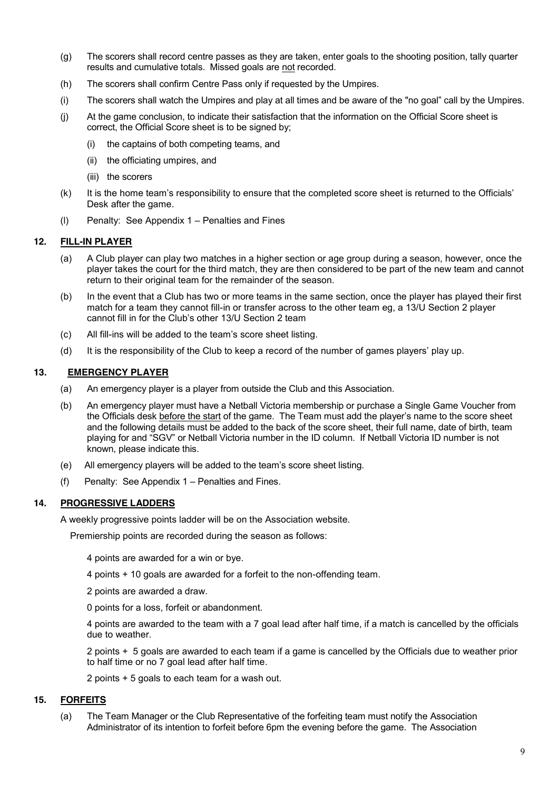- (g) The scorers shall record centre passes as they are taken, enter goals to the shooting position, tally quarter results and cumulative totals. Missed goals are not recorded.
- (h) The scorers shall confirm Centre Pass only if requested by the Umpires.
- (i) The scorers shall watch the Umpires and play at all times and be aware of the "no goal" call by the Umpires.
- (j) At the game conclusion, to indicate their satisfaction that the information on the Official Score sheet is correct, the Official Score sheet is to be signed by;
	- (i) the captains of both competing teams, and
	- (ii) the officiating umpires, and
	- (iii) the scorers
- (k) It is the home team's responsibility to ensure that the completed score sheet is returned to the Officials' Desk after the game.
- (l) Penalty: See Appendix 1 Penalties and Fines

### **12. FILL-IN PLAYER**

- (a) A Club player can play two matches in a higher section or age group during a season, however, once the player takes the court for the third match, they are then considered to be part of the new team and cannot return to their original team for the remainder of the season.
- (b) In the event that a Club has two or more teams in the same section, once the player has played their first match for a team they cannot fill-in or transfer across to the other team eg, a 13/U Section 2 player cannot fill in for the Club's other 13/U Section 2 team
- (c) All fill-ins will be added to the team's score sheet listing.
- (d) It is the responsibility of the Club to keep a record of the number of games players' play up.

### **13. EMERGENCY PLAYER**

- (a) An emergency player is a player from outside the Club and this Association.
- (b) An emergency player must have a Netball Victoria membership or purchase a Single Game Voucher from the Officials desk before the start of the game. The Team must add the player's name to the score sheet and the following details must be added to the back of the score sheet, their full name, date of birth, team playing for and "SGV" or Netball Victoria number in the ID column. If Netball Victoria ID number is not known, please indicate this.
- (e) All emergency players will be added to the team's score sheet listing.
- (f) Penalty: See Appendix 1 Penalties and Fines.

### **14. PROGRESSIVE LADDERS**

A weekly progressive points ladder will be on the Association website.

Premiership points are recorded during the season as follows:

- 4 points are awarded for a win or bye.
- 4 points + 10 goals are awarded for a forfeit to the non-offending team.
- 2 points are awarded a draw.
- 0 points for a loss, forfeit or abandonment.

4 points are awarded to the team with a 7 goal lead after half time, if a match is cancelled by the officials due to weather.

2 points + 5 goals are awarded to each team if a game is cancelled by the Officials due to weather prior to half time or no 7 goal lead after half time.

2 points + 5 goals to each team for a wash out.

### **15. FORFEITS**

(a) The Team Manager or the Club Representative of the forfeiting team must notify the Association Administrator of its intention to forfeit before 6pm the evening before the game. The Association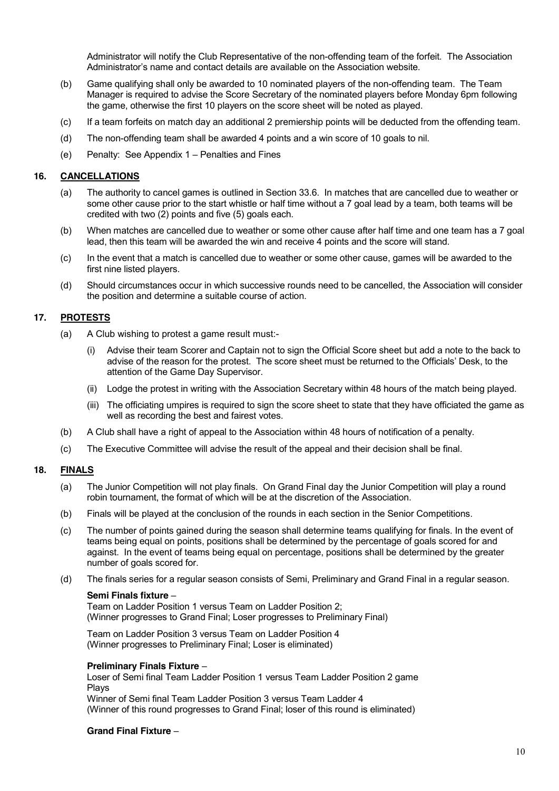Administrator will notify the Club Representative of the non-offending team of the forfeit. The Association Administrator's name and contact details are available on the Association website.

- (b) Game qualifying shall only be awarded to 10 nominated players of the non-offending team. The Team Manager is required to advise the Score Secretary of the nominated players before Monday 6pm following the game, otherwise the first 10 players on the score sheet will be noted as played.
- (c) If a team forfeits on match day an additional 2 premiership points will be deducted from the offending team.
- (d) The non-offending team shall be awarded 4 points and a win score of 10 goals to nil.
- (e) Penalty: See Appendix 1 Penalties and Fines

### **16. CANCELLATIONS**

- (a) The authority to cancel games is outlined in Section 33.6. In matches that are cancelled due to weather or some other cause prior to the start whistle or half time without a 7 goal lead by a team, both teams will be credited with two (2) points and five (5) goals each.
- (b) When matches are cancelled due to weather or some other cause after half time and one team has a 7 goal lead, then this team will be awarded the win and receive 4 points and the score will stand.
- (c) In the event that a match is cancelled due to weather or some other cause, games will be awarded to the first nine listed players.
- (d) Should circumstances occur in which successive rounds need to be cancelled, the Association will consider the position and determine a suitable course of action.

### **17. PROTESTS**

- (a) A Club wishing to protest a game result must:-
	- Advise their team Scorer and Captain not to sign the Official Score sheet but add a note to the back to advise of the reason for the protest. The score sheet must be returned to the Officials' Desk, to the attention of the Game Day Supervisor.
	- (ii) Lodge the protest in writing with the Association Secretary within 48 hours of the match being played.
	- (iii) The officiating umpires is required to sign the score sheet to state that they have officiated the game as well as recording the best and fairest votes.
- (b) A Club shall have a right of appeal to the Association within 48 hours of notification of a penalty.
- (c) The Executive Committee will advise the result of the appeal and their decision shall be final.

### **18. FINALS**

- (a) The Junior Competition will not play finals. On Grand Final day the Junior Competition will play a round robin tournament, the format of which will be at the discretion of the Association.
- (b) Finals will be played at the conclusion of the rounds in each section in the Senior Competitions.
- (c) The number of points gained during the season shall determine teams qualifying for finals. In the event of teams being equal on points, positions shall be determined by the percentage of goals scored for and against. In the event of teams being equal on percentage, positions shall be determined by the greater number of goals scored for.
- (d) The finals series for a regular season consists of Semi, Preliminary and Grand Final in a regular season.

#### **Semi Finals fixture** –

Team on Ladder Position 1 versus Team on Ladder Position 2; (Winner progresses to Grand Final; Loser progresses to Preliminary Final)

Team on Ladder Position 3 versus Team on Ladder Position 4 (Winner progresses to Preliminary Final; Loser is eliminated)

### **Preliminary Finals Fixture** –

Loser of Semi final Team Ladder Position 1 versus Team Ladder Position 2 game Plays Winner of Semi final Team Ladder Position 3 versus Team Ladder 4

(Winner of this round progresses to Grand Final; loser of this round is eliminated)

### **Grand Final Fixture** –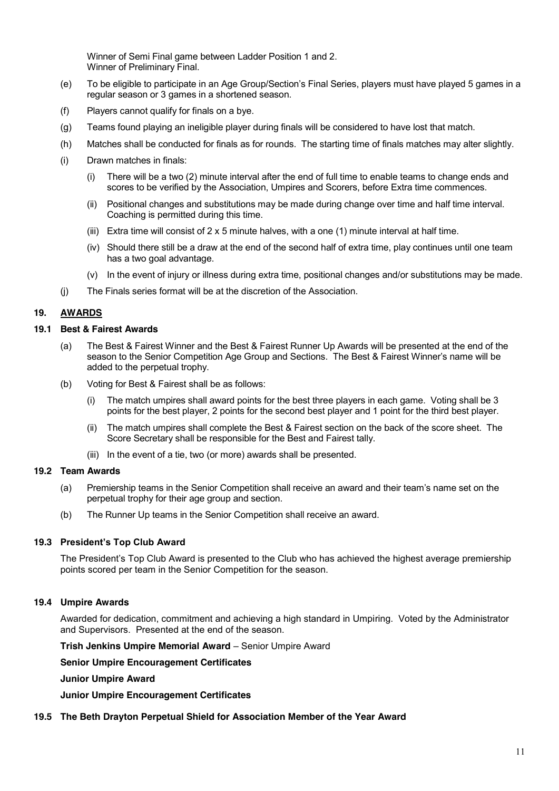Winner of Semi Final game between Ladder Position 1 and 2. Winner of Preliminary Final.

- (e) To be eligible to participate in an Age Group/Section's Final Series, players must have played 5 games in a regular season or 3 games in a shortened season.
- (f) Players cannot qualify for finals on a bye.
- (g) Teams found playing an ineligible player during finals will be considered to have lost that match.
- (h) Matches shall be conducted for finals as for rounds. The starting time of finals matches may alter slightly.
- (i) Drawn matches in finals:
	- (i) There will be a two (2) minute interval after the end of full time to enable teams to change ends and scores to be verified by the Association, Umpires and Scorers, before Extra time commences.
	- (ii) Positional changes and substitutions may be made during change over time and half time interval. Coaching is permitted during this time.
	- (iii) Extra time will consist of  $2 \times 5$  minute halves, with a one (1) minute interval at half time.
	- (iv) Should there still be a draw at the end of the second half of extra time, play continues until one team has a two goal advantage.
	- (v) In the event of injury or illness during extra time, positional changes and/or substitutions may be made.
- (j) The Finals series format will be at the discretion of the Association.

### **19. AWARDS**

#### **19.1 Best & Fairest Awards**

- (a) The Best & Fairest Winner and the Best & Fairest Runner Up Awards will be presented at the end of the season to the Senior Competition Age Group and Sections. The Best & Fairest Winner's name will be added to the perpetual trophy.
- (b) Voting for Best & Fairest shall be as follows:
	- (i) The match umpires shall award points for the best three players in each game. Voting shall be 3 points for the best player, 2 points for the second best player and 1 point for the third best player.
	- (ii) The match umpires shall complete the Best & Fairest section on the back of the score sheet. The Score Secretary shall be responsible for the Best and Fairest tally.
	- (iii) In the event of a tie, two (or more) awards shall be presented.

#### **19.2 Team Awards**

- (a) Premiership teams in the Senior Competition shall receive an award and their team's name set on the perpetual trophy for their age group and section.
- (b) The Runner Up teams in the Senior Competition shall receive an award.

### **19.3 President's Top Club Award**

The President's Top Club Award is presented to the Club who has achieved the highest average premiership points scored per team in the Senior Competition for the season.

### **19.4 Umpire Awards**

Awarded for dedication, commitment and achieving a high standard in Umpiring. Voted by the Administrator and Supervisors. Presented at the end of the season.

#### **Trish Jenkins Umpire Memorial Award** – Senior Umpire Award

**Senior Umpire Encouragement Certificates**

#### **Junior Umpire Award**

**Junior Umpire Encouragement Certificates**

### **19.5 The Beth Drayton Perpetual Shield for Association Member of the Year Award**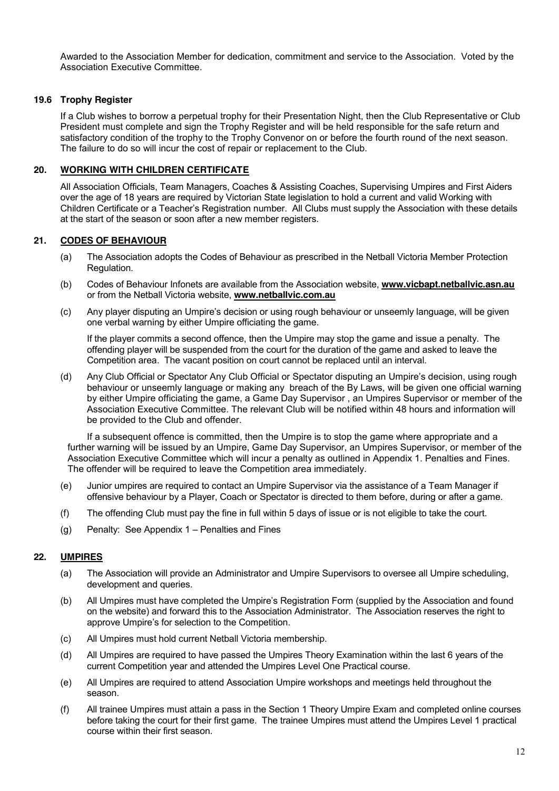Awarded to the Association Member for dedication, commitment and service to the Association. Voted by the Association Executive Committee.

### **19.6 Trophy Register**

If a Club wishes to borrow a perpetual trophy for their Presentation Night, then the Club Representative or Club President must complete and sign the Trophy Register and will be held responsible for the safe return and satisfactory condition of the trophy to the Trophy Convenor on or before the fourth round of the next season. The failure to do so will incur the cost of repair or replacement to the Club.

### **20. WORKING WITH CHILDREN CERTIFICATE**

All Association Officials, Team Managers, Coaches & Assisting Coaches, Supervising Umpires and First Aiders over the age of 18 years are required by Victorian State legislation to hold a current and valid Working with Children Certificate or a Teacher's Registration number. All Clubs must supply the Association with these details at the start of the season or soon after a new member registers.

### **21. CODES OF BEHAVIOUR**

- (a) The Association adopts the Codes of Behaviour as prescribed in the Netball Victoria Member Protection Regulation.
- (b) Codes of Behaviour Infonets are available from the Association website, **[www.vicbapt.netballvic.asn.au](http://www.vicbapt.netballvic.asn.au/)** or from the Netball Victoria website, **[www.netballvic.com.au](http://www.netballvic.com.au/)**
- (c) Any player disputing an Umpire's decision or using rough behaviour or unseemly language, will be given one verbal warning by either Umpire officiating the game.

If the player commits a second offence, then the Umpire may stop the game and issue a penalty. The offending player will be suspended from the court for the duration of the game and asked to leave the Competition area. The vacant position on court cannot be replaced until an interval.

(d) Any Club Official or Spectator Any Club Official or Spectator disputing an Umpire's decision, using rough behaviour or unseemly language or making any breach of the By Laws, will be given one official warning by either Umpire officiating the game, a Game Day Supervisor , an Umpires Supervisor or member of the Association Executive Committee. The relevant Club will be notified within 48 hours and information will be provided to the Club and offender.

If a subsequent offence is committed, then the Umpire is to stop the game where appropriate and a further warning will be issued by an Umpire, Game Day Supervisor, an Umpires Supervisor, or member of the Association Executive Committee which will incur a penalty as outlined in Appendix 1. Penalties and Fines. The offender will be required to leave the Competition area immediately.

- (e) Junior umpires are required to contact an Umpire Supervisor via the assistance of a Team Manager if offensive behaviour by a Player, Coach or Spectator is directed to them before, during or after a game.
- (f) The offending Club must pay the fine in full within 5 days of issue or is not eligible to take the court.
- (g) Penalty: See Appendix 1 Penalties and Fines

## **22. UMPIRES**

- (a) The Association will provide an Administrator and Umpire Supervisors to oversee all Umpire scheduling, development and queries.
- (b) All Umpires must have completed the Umpire's Registration Form (supplied by the Association and found on the website) and forward this to the Association Administrator. The Association reserves the right to approve Umpire's for selection to the Competition.
- (c) All Umpires must hold current Netball Victoria membership.
- (d) All Umpires are required to have passed the Umpires Theory Examination within the last 6 years of the current Competition year and attended the Umpires Level One Practical course.
- (e) All Umpires are required to attend Association Umpire workshops and meetings held throughout the season.
- (f) All trainee Umpires must attain a pass in the Section 1 Theory Umpire Exam and completed online courses before taking the court for their first game. The trainee Umpires must attend the Umpires Level 1 practical course within their first season.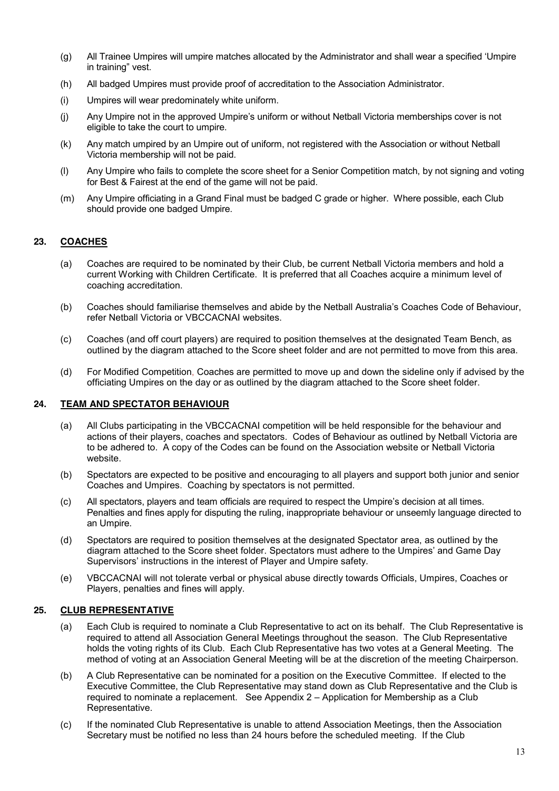- (g) All Trainee Umpires will umpire matches allocated by the Administrator and shall wear a specified 'Umpire in training" vest.
- (h) All badged Umpires must provide proof of accreditation to the Association Administrator.
- (i) Umpires will wear predominately white uniform.
- (j) Any Umpire not in the approved Umpire's uniform or without Netball Victoria memberships cover is not eligible to take the court to umpire.
- (k) Any match umpired by an Umpire out of uniform, not registered with the Association or without Netball Victoria membership will not be paid.
- (l) Any Umpire who fails to complete the score sheet for a Senior Competition match, by not signing and voting for Best & Fairest at the end of the game will not be paid.
- (m) Any Umpire officiating in a Grand Final must be badged C grade or higher. Where possible, each Club should provide one badged Umpire.

### **23. COACHES**

- (a) Coaches are required to be nominated by their Club, be current Netball Victoria members and hold a current Working with Children Certificate. It is preferred that all Coaches acquire a minimum level of coaching accreditation.
- (b) Coaches should familiarise themselves and abide by the Netball Australia's Coaches Code of Behaviour, refer Netball Victoria or VBCCACNAI websites.
- (c) Coaches (and off court players) are required to position themselves at the designated Team Bench, as outlined by the diagram attached to the Score sheet folder and are not permitted to move from this area.
- (d) For Modified Competition, Coaches are permitted to move up and down the sideline only if advised by the officiating Umpires on the day or as outlined by the diagram attached to the Score sheet folder.

#### **24. TEAM AND SPECTATOR BEHAVIOUR**

- (a) All Clubs participating in the VBCCACNAI competition will be held responsible for the behaviour and actions of their players, coaches and spectators. Codes of Behaviour as outlined by Netball Victoria are to be adhered to. A copy of the Codes can be found on the Association website or Netball Victoria website.
- (b) Spectators are expected to be positive and encouraging to all players and support both junior and senior Coaches and Umpires. Coaching by spectators is not permitted.
- (c) All spectators, players and team officials are required to respect the Umpire's decision at all times. Penalties and fines apply for disputing the ruling, inappropriate behaviour or unseemly language directed to an Umpire.
- (d) Spectators are required to position themselves at the designated Spectator area, as outlined by the diagram attached to the Score sheet folder. Spectators must adhere to the Umpires' and Game Day Supervisors' instructions in the interest of Player and Umpire safety.
- (e) VBCCACNAI will not tolerate verbal or physical abuse directly towards Officials, Umpires, Coaches or Players, penalties and fines will apply.

### **25. CLUB REPRESENTATIVE**

- (a) Each Club is required to nominate a Club Representative to act on its behalf. The Club Representative is required to attend all Association General Meetings throughout the season. The Club Representative holds the voting rights of its Club. Each Club Representative has two votes at a General Meeting. The method of voting at an Association General Meeting will be at the discretion of the meeting Chairperson.
- (b) A Club Representative can be nominated for a position on the Executive Committee. If elected to the Executive Committee, the Club Representative may stand down as Club Representative and the Club is required to nominate a replacement. See Appendix 2 – Application for Membership as a Club Representative.
- (c) If the nominated Club Representative is unable to attend Association Meetings, then the Association Secretary must be notified no less than 24 hours before the scheduled meeting. If the Club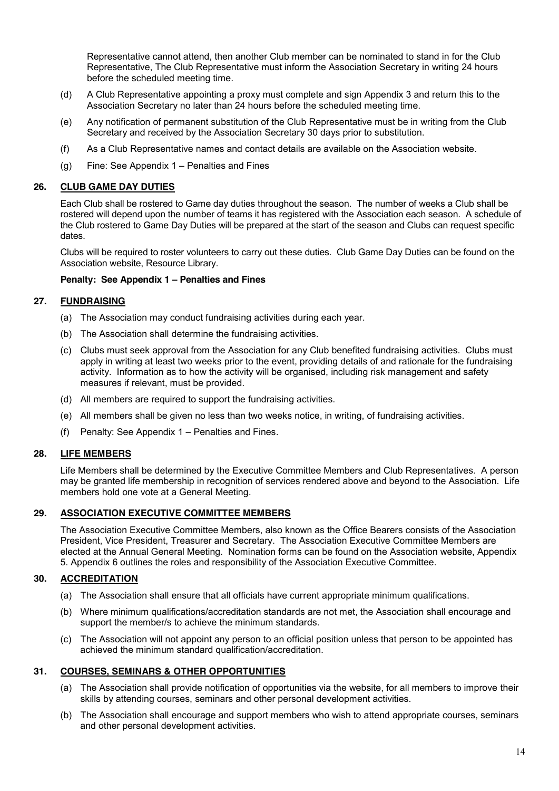Representative cannot attend, then another Club member can be nominated to stand in for the Club Representative, The Club Representative must inform the Association Secretary in writing 24 hours before the scheduled meeting time.

- (d) A Club Representative appointing a proxy must complete and sign Appendix 3 and return this to the Association Secretary no later than 24 hours before the scheduled meeting time.
- (e) Any notification of permanent substitution of the Club Representative must be in writing from the Club Secretary and received by the Association Secretary 30 days prior to substitution.
- (f) As a Club Representative names and contact details are available on the Association website.
- (g) Fine: See Appendix 1 Penalties and Fines

### **26. CLUB GAME DAY DUTIES**

Each Club shall be rostered to Game day duties throughout the season. The number of weeks a Club shall be rostered will depend upon the number of teams it has registered with the Association each season. A schedule of the Club rostered to Game Day Duties will be prepared at the start of the season and Clubs can request specific dates.

Clubs will be required to roster volunteers to carry out these duties. Club Game Day Duties can be found on the Association website, Resource Library.

#### **Penalty: See Appendix 1 – Penalties and Fines**

### **27. FUNDRAISING**

- (a) The Association may conduct fundraising activities during each year.
- (b) The Association shall determine the fundraising activities.
- (c) Clubs must seek approval from the Association for any Club benefited fundraising activities. Clubs must apply in writing at least two weeks prior to the event, providing details of and rationale for the fundraising activity. Information as to how the activity will be organised, including risk management and safety measures if relevant, must be provided.
- (d) All members are required to support the fundraising activities.
- (e) All members shall be given no less than two weeks notice, in writing, of fundraising activities.
- (f) Penalty: See Appendix 1 Penalties and Fines.

### **28. LIFE MEMBERS**

Life Members shall be determined by the Executive Committee Members and Club Representatives. A person may be granted life membership in recognition of services rendered above and beyond to the Association. Life members hold one vote at a General Meeting.

### **29. ASSOCIATION EXECUTIVE COMMITTEE MEMBERS**

The Association Executive Committee Members, also known as the Office Bearers consists of the Association President, Vice President, Treasurer and Secretary. The Association Executive Committee Members are elected at the Annual General Meeting. Nomination forms can be found on the Association website, Appendix 5. Appendix 6 outlines the roles and responsibility of the Association Executive Committee.

### **30. ACCREDITATION**

- (a) The Association shall ensure that all officials have current appropriate minimum qualifications.
- (b) Where minimum qualifications/accreditation standards are not met, the Association shall encourage and support the member/s to achieve the minimum standards.
- (c) The Association will not appoint any person to an official position unless that person to be appointed has achieved the minimum standard qualification/accreditation.

## **31. COURSES, SEMINARS & OTHER OPPORTUNITIES**

- (a) The Association shall provide notification of opportunities via the website, for all members to improve their skills by attending courses, seminars and other personal development activities.
- (b) The Association shall encourage and support members who wish to attend appropriate courses, seminars and other personal development activities.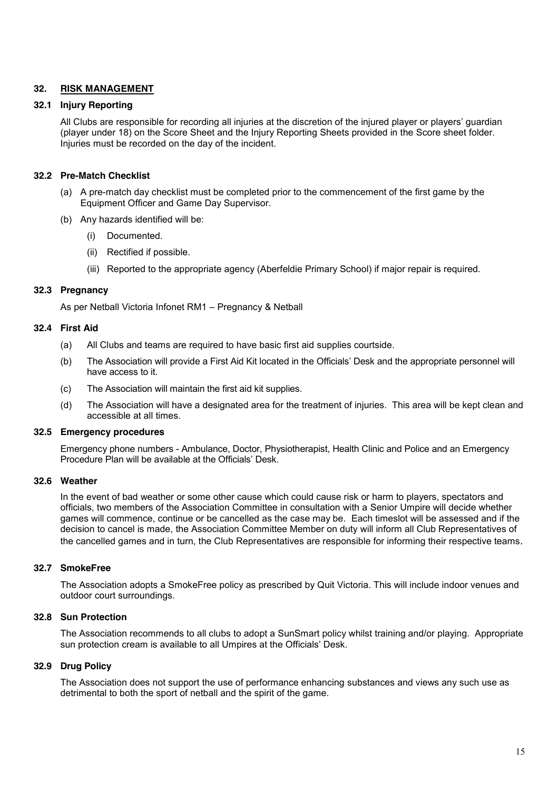### **32. RISK MANAGEMENT**

#### **32.1 Injury Reporting**

All Clubs are responsible for recording all injuries at the discretion of the injured player or players' guardian (player under 18) on the Score Sheet and the Injury Reporting Sheets provided in the Score sheet folder. Injuries must be recorded on the day of the incident.

#### **32.2 Pre-Match Checklist**

- (a) A pre-match day checklist must be completed prior to the commencement of the first game by the Equipment Officer and Game Day Supervisor.
- (b) Any hazards identified will be:
	- (i) Documented.
	- (ii) Rectified if possible.
	- (iii) Reported to the appropriate agency (Aberfeldie Primary School) if major repair is required.

#### **32.3 Pregnancy**

As per Netball Victoria Infonet RM1 – Pregnancy & Netball

#### **32.4 First Aid**

- (a) All Clubs and teams are required to have basic first aid supplies courtside.
- (b) The Association will provide a First Aid Kit located in the Officials' Desk and the appropriate personnel will have access to it.
- (c) The Association will maintain the first aid kit supplies.
- (d) The Association will have a designated area for the treatment of injuries. This area will be kept clean and accessible at all times.

#### **32.5 Emergency procedures**

Emergency phone numbers - Ambulance, Doctor, Physiotherapist, Health Clinic and Police and an Emergency Procedure Plan will be available at the Officials' Desk.

### **32.6 Weather**

In the event of bad weather or some other cause which could cause risk or harm to players, spectators and officials, two members of the Association Committee in consultation with a Senior Umpire will decide whether games will commence, continue or be cancelled as the case may be. Each timeslot will be assessed and if the decision to cancel is made, the Association Committee Member on duty will inform all Club Representatives of the cancelled games and in turn, the Club Representatives are responsible for informing their respective teams.

#### **32.7 SmokeFree**

The Association adopts a SmokeFree policy as prescribed by Quit Victoria. This will include indoor venues and outdoor court surroundings.

#### **32.8 Sun Protection**

The Association recommends to all clubs to adopt a SunSmart policy whilst training and/or playing. Appropriate sun protection cream is available to all Umpires at the Officials' Desk.

#### **32.9 Drug Policy**

The Association does not support the use of performance enhancing substances and views any such use as detrimental to both the sport of netball and the spirit of the game.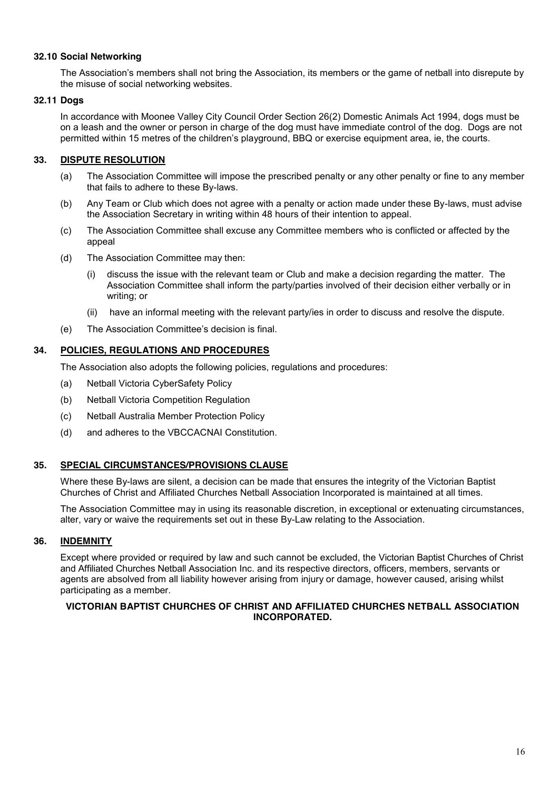### **32.10 Social Networking**

The Association's members shall not bring the Association, its members or the game of netball into disrepute by the misuse of social networking websites.

#### **32.11 Dogs**

In accordance with Moonee Valley City Council Order Section 26(2) Domestic Animals Act 1994, dogs must be on a leash and the owner or person in charge of the dog must have immediate control of the dog. Dogs are not permitted within 15 metres of the children's playground, BBQ or exercise equipment area, ie, the courts.

### **33. DISPUTE RESOLUTION**

- (a) The Association Committee will impose the prescribed penalty or any other penalty or fine to any member that fails to adhere to these By-laws.
- (b) Any Team or Club which does not agree with a penalty or action made under these By-laws, must advise the Association Secretary in writing within 48 hours of their intention to appeal.
- (c) The Association Committee shall excuse any Committee members who is conflicted or affected by the appeal
- (d) The Association Committee may then:
	- (i) discuss the issue with the relevant team or Club and make a decision regarding the matter. The Association Committee shall inform the party/parties involved of their decision either verbally or in writing; or
	- (ii) have an informal meeting with the relevant party/ies in order to discuss and resolve the dispute.
- (e) The Association Committee's decision is final.

#### **34. POLICIES, REGULATIONS AND PROCEDURES**

The Association also adopts the following policies, regulations and procedures:

- (a) Netball Victoria CyberSafety Policy
- (b) Netball Victoria Competition Regulation
- (c) Netball Australia Member Protection Policy
- (d) and adheres to the VBCCACNAI Constitution.

### **35. SPECIAL CIRCUMSTANCES/PROVISIONS CLAUSE**

Where these By-laws are silent, a decision can be made that ensures the integrity of the Victorian Baptist Churches of Christ and Affiliated Churches Netball Association Incorporated is maintained at all times.

The Association Committee may in using its reasonable discretion, in exceptional or extenuating circumstances, alter, vary or waive the requirements set out in these By-Law relating to the Association.

### **36. INDEMNITY**

Except where provided or required by law and such cannot be excluded, the Victorian Baptist Churches of Christ and Affiliated Churches Netball Association Inc. and its respective directors, officers, members, servants or agents are absolved from all liability however arising from injury or damage, however caused, arising whilst participating as a member.

### **VICTORIAN BAPTIST CHURCHES OF CHRIST AND AFFILIATED CHURCHES NETBALL ASSOCIATION INCORPORATED.**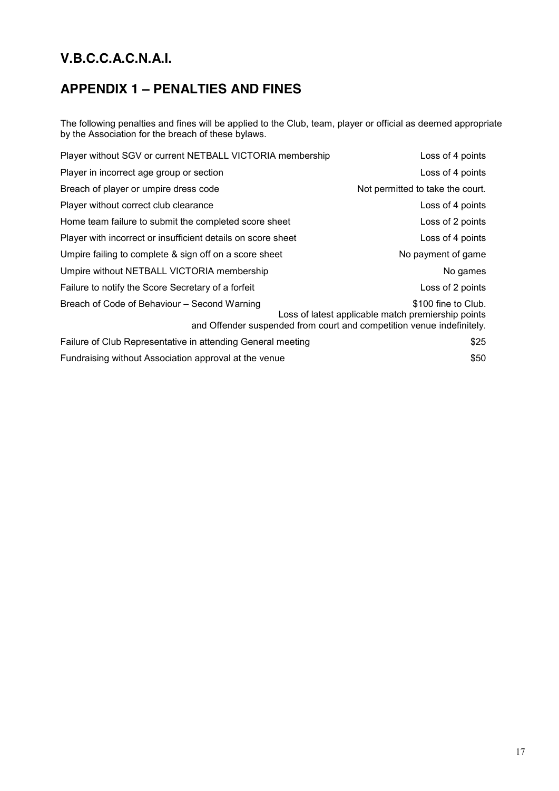# **APPENDIX 1 – PENALTIES AND FINES**

The following penalties and fines will be applied to the Club, team, player or official as deemed appropriate by the Association for the breach of these bylaws.

| Player without SGV or current NETBALL VICTORIA membership                                                                                                                                          | Loss of 4 points                 |  |  |
|----------------------------------------------------------------------------------------------------------------------------------------------------------------------------------------------------|----------------------------------|--|--|
| Player in incorrect age group or section                                                                                                                                                           | Loss of 4 points                 |  |  |
| Breach of player or umpire dress code                                                                                                                                                              | Not permitted to take the court. |  |  |
| Player without correct club clearance                                                                                                                                                              | Loss of 4 points                 |  |  |
| Home team failure to submit the completed score sheet                                                                                                                                              | Loss of 2 points                 |  |  |
| Player with incorrect or insufficient details on score sheet                                                                                                                                       | Loss of 4 points                 |  |  |
| Umpire failing to complete & sign off on a score sheet                                                                                                                                             | No payment of game               |  |  |
| Umpire without NETBALL VICTORIA membership                                                                                                                                                         | No games                         |  |  |
| Failure to notify the Score Secretary of a forfeit                                                                                                                                                 | Loss of 2 points                 |  |  |
| Breach of Code of Behaviour - Second Warning<br>\$100 fine to Club.<br>Loss of latest applicable match premiership points<br>and Offender suspended from court and competition venue indefinitely. |                                  |  |  |
| Failure of Club Representative in attending General meeting                                                                                                                                        | \$25                             |  |  |
| Fundraising without Association approval at the venue                                                                                                                                              | \$50                             |  |  |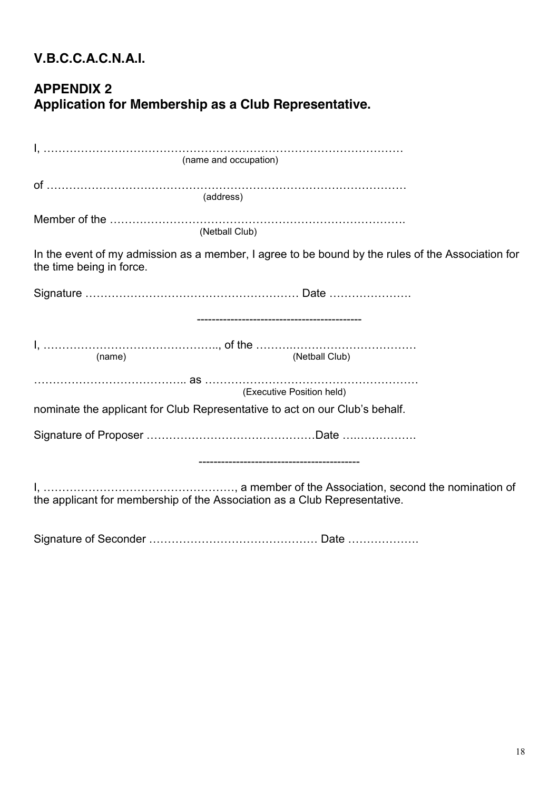# **APPENDIX 2 Application for Membership as a Club Representative.**

| In the event of my admission as a member, I agree to be bound by the rules of the Association for<br>the time being in force. |  |  |  |  |  |
|-------------------------------------------------------------------------------------------------------------------------------|--|--|--|--|--|
|                                                                                                                               |  |  |  |  |  |
|                                                                                                                               |  |  |  |  |  |
|                                                                                                                               |  |  |  |  |  |
| (Executive Position held)                                                                                                     |  |  |  |  |  |
| nominate the applicant for Club Representative to act on our Club's behalf.                                                   |  |  |  |  |  |
|                                                                                                                               |  |  |  |  |  |
|                                                                                                                               |  |  |  |  |  |
| the applicant for membership of the Association as a Club Representative.                                                     |  |  |  |  |  |
|                                                                                                                               |  |  |  |  |  |

Signature of Seconder ……………………………………… Date ……………….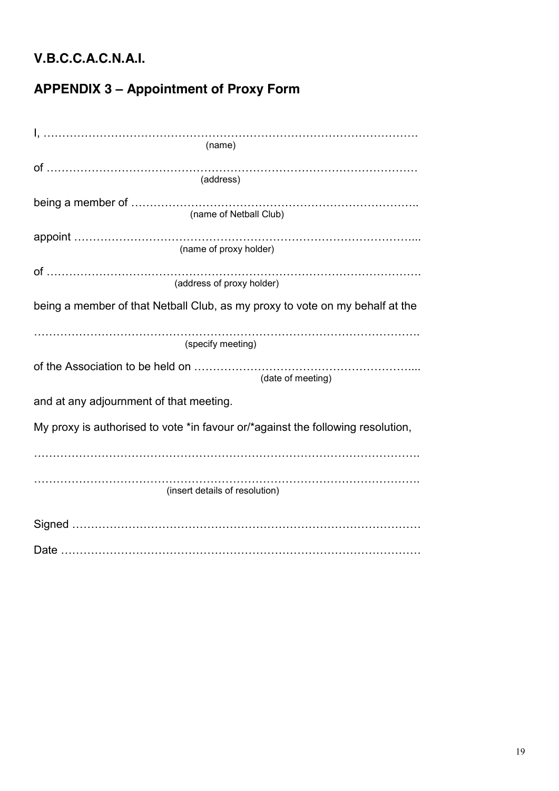# **APPENDIX 3 – Appointment of Proxy Form**

| (name)                                                                          |  |  |  |  |
|---------------------------------------------------------------------------------|--|--|--|--|
| (address)                                                                       |  |  |  |  |
| (name of Netball Club)                                                          |  |  |  |  |
| (name of proxy holder)                                                          |  |  |  |  |
| (address of proxy holder)                                                       |  |  |  |  |
| being a member of that Netball Club, as my proxy to vote on my behalf at the    |  |  |  |  |
| (specify meeting)                                                               |  |  |  |  |
| (date of meeting)                                                               |  |  |  |  |
| and at any adjournment of that meeting.                                         |  |  |  |  |
| My proxy is authorised to vote *in favour or/*against the following resolution, |  |  |  |  |
|                                                                                 |  |  |  |  |
| (insert details of resolution)                                                  |  |  |  |  |
|                                                                                 |  |  |  |  |
|                                                                                 |  |  |  |  |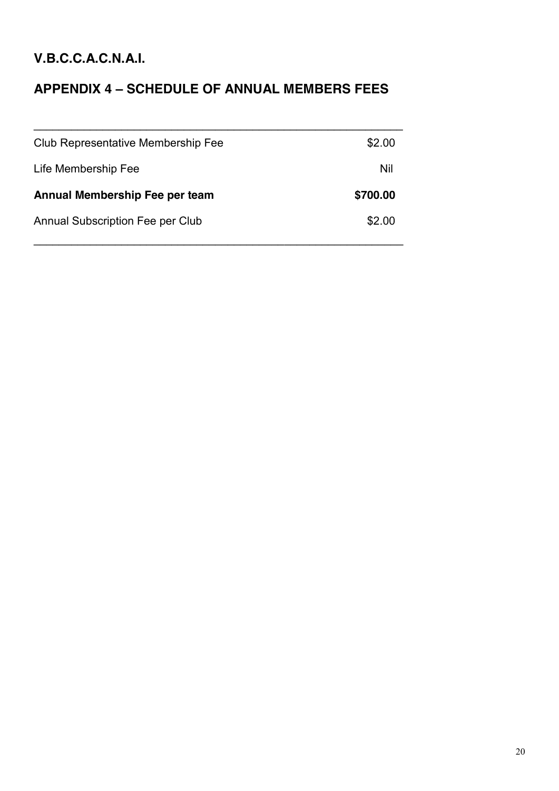# **APPENDIX 4 – SCHEDULE OF ANNUAL MEMBERS FEES**

| Club Representative Membership Fee      | \$2.00   |
|-----------------------------------------|----------|
| Life Membership Fee                     | Nil      |
| Annual Membership Fee per team          | \$700.00 |
| <b>Annual Subscription Fee per Club</b> | \$2.00   |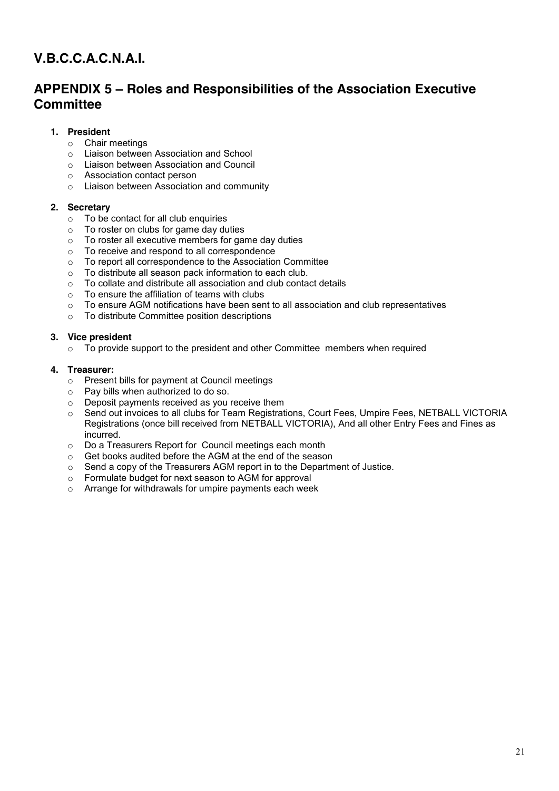# **APPENDIX 5 – Roles and Responsibilities of the Association Executive Committee**

## **1. President**

- o Chair meetings
- o Liaison between Association and School
- o Liaison between Association and Council
- o Association contact person
- o Liaison between Association and community

### **2. Secretary**

- $\circ$  To be contact for all club enquiries<br> $\circ$  To roster on clubs for game day div
- To roster on clubs for game day duties
- $\circ$  To roster all executive members for game day duties
- o To receive and respond to all correspondence
- o To report all correspondence to the Association Committee
- o To distribute all season pack information to each club.
- o To collate and distribute all association and club contact details
- o To ensure the affiliation of teams with clubs
- $\circ$  To ensure AGM notifications have been sent to all association and club representatives
- o To distribute Committee position descriptions

### **3. Vice president**

 $\circ$  To provide support to the president and other Committee members when required

### **4. Treasurer:**

- o Present bills for payment at Council meetings
- o Pay bills when authorized to do so.
- o Deposit payments received as you receive them
- o Send out invoices to all clubs for Team Registrations, Court Fees, Umpire Fees, NETBALL VICTORIA Registrations (once bill received from NETBALL VICTORIA), And all other Entry Fees and Fines as incurred.
- o Do a Treasurers Report for Council meetings each month
- o Get books audited before the AGM at the end of the season
- o Send a copy of the Treasurers AGM report in to the Department of Justice.
- o Formulate budget for next season to AGM for approval
- o Arrange for withdrawals for umpire payments each week